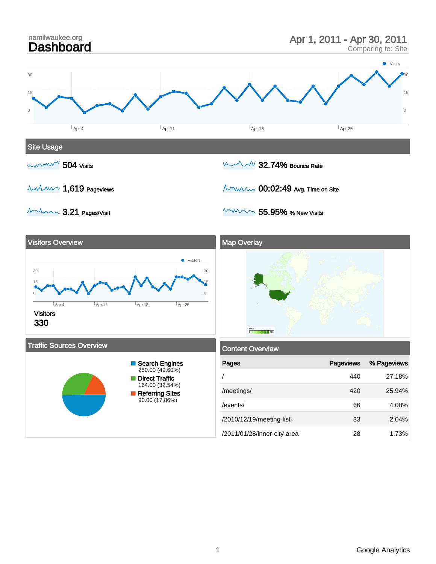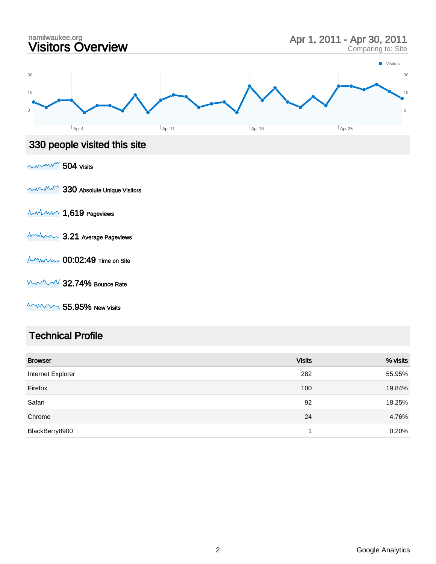

### Technical Profile

| <b>Browser</b>    | <b>Visits</b> | % visits |
|-------------------|---------------|----------|
| Internet Explorer | 282           | 55.95%   |
| Firefox           | 100           | 19.84%   |
| Safari            | 92            | 18.25%   |
| Chrome            | 24            | 4.76%    |
| BlackBerry8900    | 4             | 0.20%    |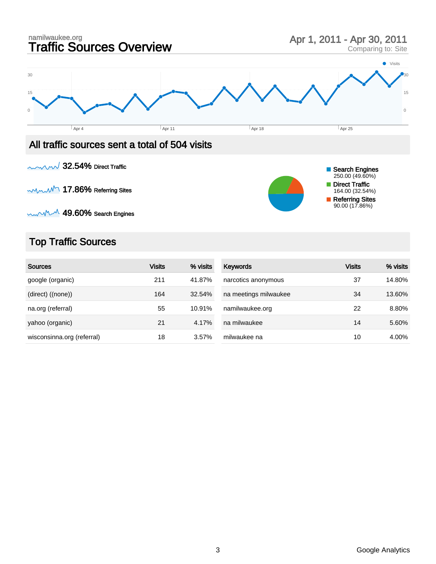

 $\sim$  MM  $\cdot$  49.60% Search Engines

# Top Traffic Sources

| <b>Sources</b>             | <b>Visits</b> | % visits | <b>Keywords</b>       | <b>Visits</b> | % visits |
|----------------------------|---------------|----------|-----------------------|---------------|----------|
| google (organic)           | 211           | 41.87%   | narcotics anonymous   | 37            | 14.80%   |
| (direct) ((none))          | 164           | 32.54%   | na meetings milwaukee | 34            | 13.60%   |
| na.org (referral)          | 55            | 10.91%   | namilwaukee.org       | 22            | 8.80%    |
| yahoo (organic)            | 21            | 4.17%    | na milwaukee          | 14            | 5.60%    |
| wisconsinna.org (referral) | 18            | 3.57%    | milwaukee na          | 10            | 4.00%    |

Referring Sites 90.00 (17.86%)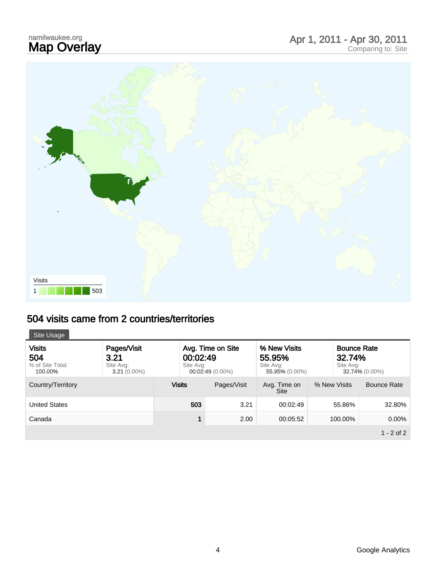# namilwaukee.org<br>**Map Overlay**

# namilwaukee.org<br> **Map Overlay** Apr 1, 2011 - Apr 30, 2011<br>
Comparing to: Site





# 504 visits came from 2 countries/territories

| Site Usage                                          |                                                    |                                                                  |             |                                                       |              |                                                             |  |
|-----------------------------------------------------|----------------------------------------------------|------------------------------------------------------------------|-------------|-------------------------------------------------------|--------------|-------------------------------------------------------------|--|
| <b>Visits</b><br>504<br>% of Site Total:<br>100.00% | Pages/Visit<br>3.21<br>Site Avg:<br>$3.21(0.00\%)$ | Avg. Time on Site<br>00:02:49<br>Site Avg:<br>$00:02:49(0.00\%)$ |             | % New Visits<br>55.95%<br>Site Avg:<br>55,95% (0.00%) |              | <b>Bounce Rate</b><br>32.74%<br>Site Avg:<br>32.74% (0.00%) |  |
| Country/Territory                                   |                                                    | <b>Visits</b>                                                    | Pages/Visit | Avg. Time on<br>Site                                  | % New Visits | Bounce Rate                                                 |  |
| <b>United States</b>                                |                                                    | 503                                                              | 3.21        | 00:02:49                                              | 55.86%       | 32.80%                                                      |  |
| Canada                                              |                                                    | 1                                                                | 2.00        | 00:05:52                                              | 100.00%      | $0.00\%$                                                    |  |
|                                                     |                                                    |                                                                  |             |                                                       |              | $1 - 2$ of 2                                                |  |